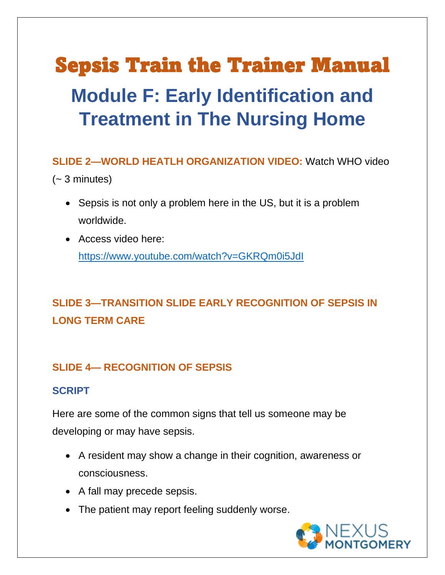# Sepsis Train the Trainer Manual **Module F: Early Identification and Treatment in The Nursing Home**

**SLIDE 2—WORLD HEATLH ORGANIZATION VIDEO:** Watch WHO video (~ 3 minutes)

- Sepsis is not only a problem here in the US, but it is a problem worldwide.
- Access video here: [https://www.youtube.com/watch?v=GKRQm0i5JdI](about:blank)

## **SLIDE 3—TRANSITION SLIDE EARLY RECOGNITION OF SEPSIS IN LONG TERM CARE**

#### **SLIDE 4— RECOGNITION OF SEPSIS**

#### **SCRIPT**

Here are some of the common signs that tell us someone may be developing or may have sepsis.

- A resident may show a change in their cognition, awareness or consciousness.
- A fall may precede sepsis.
- The patient may report feeling suddenly worse.

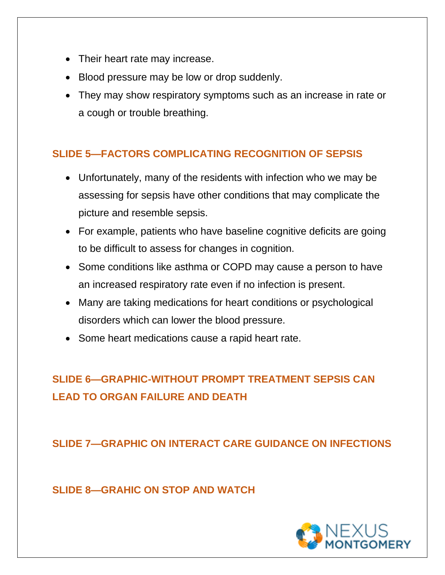- Their heart rate may increase.
- Blood pressure may be low or drop suddenly.
- They may show respiratory symptoms such as an increase in rate or a cough or trouble breathing.

#### **SLIDE 5—FACTORS COMPLICATING RECOGNITION OF SEPSIS**

- Unfortunately, many of the residents with infection who we may be assessing for sepsis have other conditions that may complicate the picture and resemble sepsis.
- For example, patients who have baseline cognitive deficits are going to be difficult to assess for changes in cognition.
- Some conditions like asthma or COPD may cause a person to have an increased respiratory rate even if no infection is present.
- Many are taking medications for heart conditions or psychological disorders which can lower the blood pressure.
- Some heart medications cause a rapid heart rate.

## **SLIDE 6—GRAPHIC-WITHOUT PROMPT TREATMENT SEPSIS CAN LEAD TO ORGAN FAILURE AND DEATH**

**SLIDE 7—GRAPHIC ON INTERACT CARE GUIDANCE ON INFECTIONS**

#### **SLIDE 8—GRAHIC ON STOP AND WATCH**

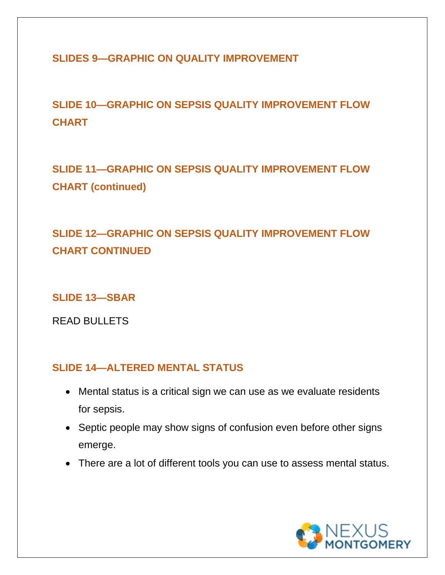**SLIDES 9—GRAPHIC ON QUALITY IMPROVEMENT**

**SLIDE 10—GRAPHIC ON SEPSIS QUALITY IMPROVEMENT FLOW CHART**

**SLIDE 11—GRAPHIC ON SEPSIS QUALITY IMPROVEMENT FLOW CHART (continued)**

**SLIDE 12—GRAPHIC ON SEPSIS QUALITY IMPROVEMENT FLOW CHART CONTINUED**

**SLIDE 13—SBAR**

READ BULLETS

#### **SLIDE 14—ALTERED MENTAL STATUS**

- Mental status is a critical sign we can use as we evaluate residents for sepsis.
- Septic people may show signs of confusion even before other signs emerge.
- There are a lot of different tools you can use to assess mental status.

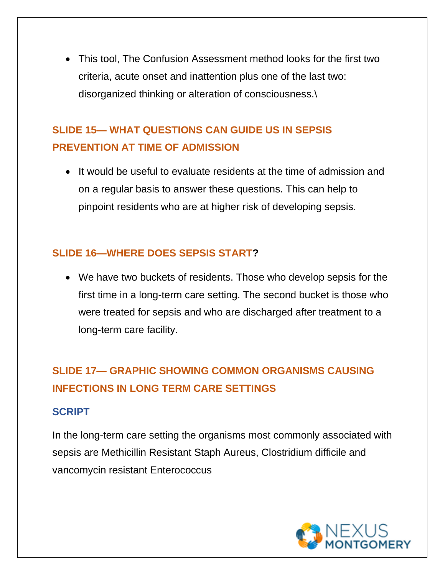• This tool, The Confusion Assessment method looks for the first two criteria, acute onset and inattention plus one of the last two: disorganized thinking or alteration of consciousness.\

## **SLIDE 15— WHAT QUESTIONS CAN GUIDE US IN SEPSIS PREVENTION AT TIME OF ADMISSION**

• It would be useful to evaluate residents at the time of admission and on a regular basis to answer these questions. This can help to pinpoint residents who are at higher risk of developing sepsis.

#### **SLIDE 16—WHERE DOES SEPSIS START?**

• We have two buckets of residents. Those who develop sepsis for the first time in a long-term care setting. The second bucket is those who were treated for sepsis and who are discharged after treatment to a long-term care facility.

## **SLIDE 17— GRAPHIC SHOWING COMMON ORGANISMS CAUSING INFECTIONS IN LONG TERM CARE SETTINGS**

#### **SCRIPT**

In the long-term care setting the organisms most commonly associated with sepsis are Methicillin Resistant Staph Aureus, Clostridium difficile and vancomycin resistant Enterococcus

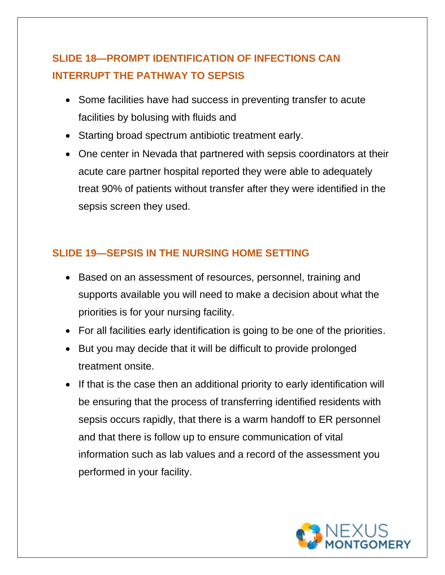## **SLIDE 18—PROMPT IDENTIFICATION OF INFECTIONS CAN INTERRUPT THE PATHWAY TO SEPSIS**

- Some facilities have had success in preventing transfer to acute facilities by bolusing with fluids and
- Starting broad spectrum antibiotic treatment early.
- One center in Nevada that partnered with sepsis coordinators at their acute care partner hospital reported they were able to adequately treat 90% of patients without transfer after they were identified in the sepsis screen they used.

#### **SLIDE 19—SEPSIS IN THE NURSING HOME SETTING**

- Based on an assessment of resources, personnel, training and supports available you will need to make a decision about what the priorities is for your nursing facility.
- For all facilities early identification is going to be one of the priorities.
- But you may decide that it will be difficult to provide prolonged treatment onsite.
- If that is the case then an additional priority to early identification will be ensuring that the process of transferring identified residents with sepsis occurs rapidly, that there is a warm handoff to ER personnel and that there is follow up to ensure communication of vital information such as lab values and a record of the assessment you performed in your facility.

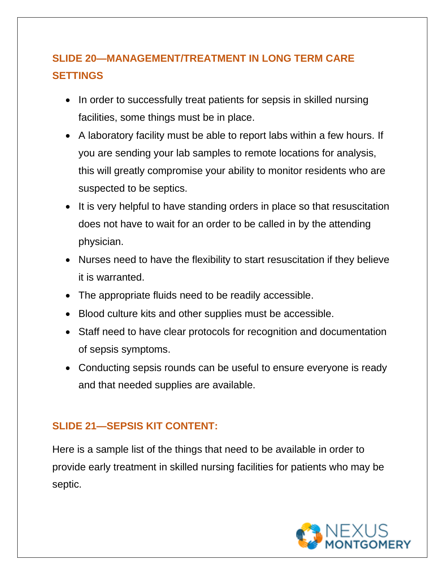## **SLIDE 20—MANAGEMENT/TREATMENT IN LONG TERM CARE SETTINGS**

- In order to successfully treat patients for sepsis in skilled nursing facilities, some things must be in place.
- A laboratory facility must be able to report labs within a few hours. If you are sending your lab samples to remote locations for analysis, this will greatly compromise your ability to monitor residents who are suspected to be septics.
- It is very helpful to have standing orders in place so that resuscitation does not have to wait for an order to be called in by the attending physician.
- Nurses need to have the flexibility to start resuscitation if they believe it is warranted.
- The appropriate fluids need to be readily accessible.
- Blood culture kits and other supplies must be accessible.
- Staff need to have clear protocols for recognition and documentation of sepsis symptoms.
- Conducting sepsis rounds can be useful to ensure everyone is ready and that needed supplies are available.

#### **SLIDE 21—SEPSIS KIT CONTENT:**

Here is a sample list of the things that need to be available in order to provide early treatment in skilled nursing facilities for patients who may be septic.

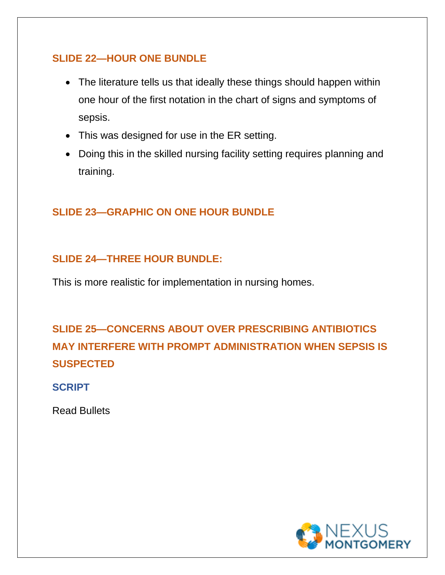#### **SLIDE 22—HOUR ONE BUNDLE**

- The literature tells us that ideally these things should happen within one hour of the first notation in the chart of signs and symptoms of sepsis.
- This was designed for use in the ER setting.
- Doing this in the skilled nursing facility setting requires planning and training.

#### **SLIDE 23—GRAPHIC ON ONE HOUR BUNDLE**

#### **SLIDE 24—THREE HOUR BUNDLE:**

This is more realistic for implementation in nursing homes.

**SLIDE 25—CONCERNS ABOUT OVER PRESCRIBING ANTIBIOTICS MAY INTERFERE WITH PROMPT ADMINISTRATION WHEN SEPSIS IS SUSPECTED**

**SCRIPT**

Read Bullets

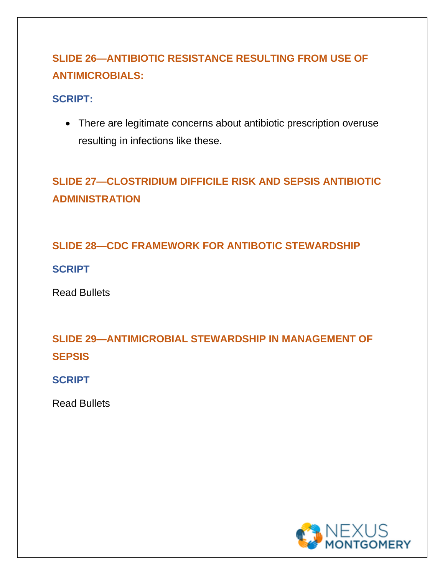## **SLIDE 26—ANTIBIOTIC RESISTANCE RESULTING FROM USE OF ANTIMICROBIALS:**

#### **SCRIPT:**

• There are legitimate concerns about antibiotic prescription overuse resulting in infections like these.

## **SLIDE 27—CLOSTRIDIUM DIFFICILE RISK AND SEPSIS ANTIBIOTIC ADMINISTRATION**

#### **SLIDE 28—CDC FRAMEWORK FOR ANTIBOTIC STEWARDSHIP**

#### **SCRIPT**

Read Bullets

## **SLIDE 29—ANTIMICROBIAL STEWARDSHIP IN MANAGEMENT OF SEPSIS**

**SCRIPT**

Read Bullets

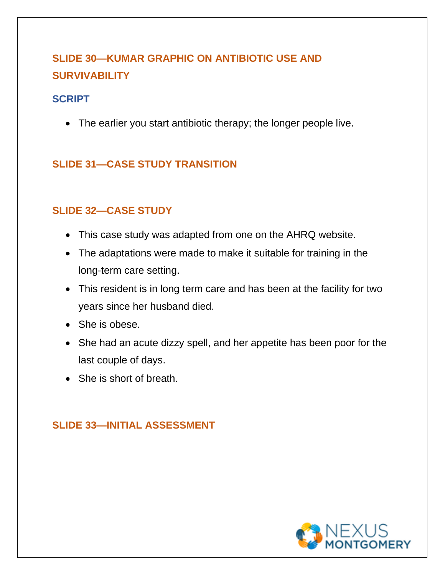## **SLIDE 30—KUMAR GRAPHIC ON ANTIBIOTIC USE AND SURVIVABILITY**

#### **SCRIPT**

• The earlier you start antibiotic therapy; the longer people live.

#### **SLIDE 31—CASE STUDY TRANSITION**

#### **SLIDE 32—CASE STUDY**

- This case study was adapted from one on the AHRQ website.
- The adaptations were made to make it suitable for training in the long-term care setting.
- This resident is in long term care and has been at the facility for two years since her husband died.
- She is obese.
- She had an acute dizzy spell, and her appetite has been poor for the last couple of days.
- She is short of breath.

#### **SLIDE 33—INITIAL ASSESSMENT**

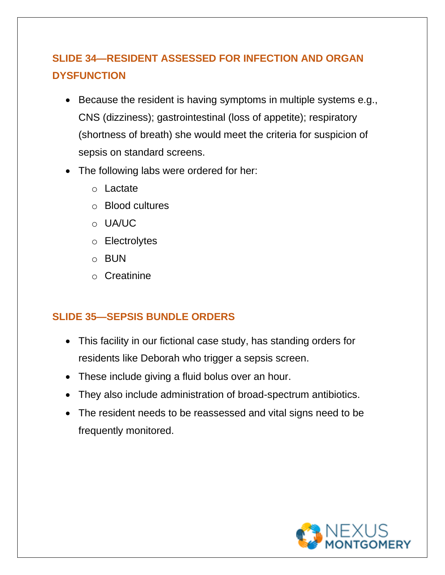## **SLIDE 34—RESIDENT ASSESSED FOR INFECTION AND ORGAN DYSFUNCTION**

- Because the resident is having symptoms in multiple systems e.g., CNS (dizziness); gastrointestinal (loss of appetite); respiratory (shortness of breath) she would meet the criteria for suspicion of sepsis on standard screens.
- The following labs were ordered for her:
	- o Lactate
	- o Blood cultures
	- o UA/UC
	- o Electrolytes
	- o BUN
	- o Creatinine

#### **SLIDE 35—SEPSIS BUNDLE ORDERS**

- This facility in our fictional case study, has standing orders for residents like Deborah who trigger a sepsis screen.
- These include giving a fluid bolus over an hour.
- They also include administration of broad-spectrum antibiotics.
- The resident needs to be reassessed and vital signs need to be frequently monitored.

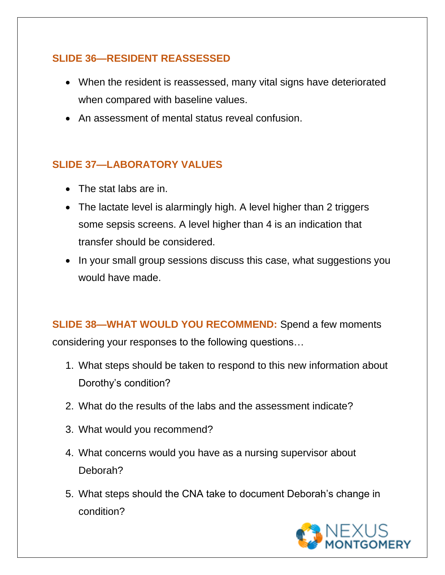#### **SLIDE 36—RESIDENT REASSESSED**

- When the resident is reassessed, many vital signs have deteriorated when compared with baseline values.
- An assessment of mental status reveal confusion.

### **SLIDE 37—LABORATORY VALUES**

- The stat labs are in.
- The lactate level is alarmingly high. A level higher than 2 triggers some sepsis screens. A level higher than 4 is an indication that transfer should be considered.
- In your small group sessions discuss this case, what suggestions you would have made.

**SLIDE 38—WHAT WOULD YOU RECOMMEND:** Spend a few moments considering your responses to the following questions…

- 1. What steps should be taken to respond to this new information about Dorothy's condition?
- 2. What do the results of the labs and the assessment indicate?
- 3. What would you recommend?
- 4. What concerns would you have as a nursing supervisor about Deborah?
- 5. What steps should the CNA take to document Deborah's change in condition?